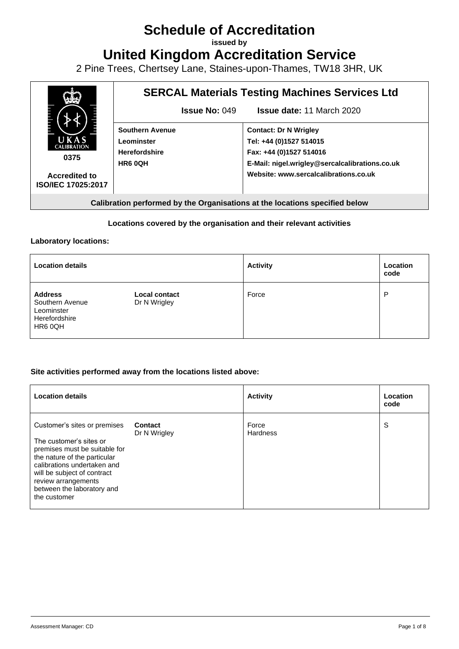# **Schedule of Accreditation**

**issued by**

**United Kingdom Accreditation Service**

2 Pine Trees, Chertsey Lane, Staines-upon-Thames, TW18 3HR, UK



#### **Locations covered by the organisation and their relevant activities**

#### **Laboratory locations:**

| <b>Location details</b>                                                     |                                      | <b>Activity</b> | Location<br>code |
|-----------------------------------------------------------------------------|--------------------------------------|-----------------|------------------|
| <b>Address</b><br>Southern Avenue<br>Leominster<br>Herefordshire<br>HR6 0QH | <b>Local contact</b><br>Dr N Wrigley | Force           | P                |

#### **Site activities performed away from the locations listed above:**

| <b>Location details</b>                                                                                                                                                                                                                                     |                                | <b>Activity</b>          | Location<br>code |
|-------------------------------------------------------------------------------------------------------------------------------------------------------------------------------------------------------------------------------------------------------------|--------------------------------|--------------------------|------------------|
| Customer's sites or premises<br>The customer's sites or<br>premises must be suitable for<br>the nature of the particular<br>calibrations undertaken and<br>will be subject of contract<br>review arrangements<br>between the laboratory and<br>the customer | <b>Contact</b><br>Dr N Wrigley | Force<br><b>Hardness</b> | S                |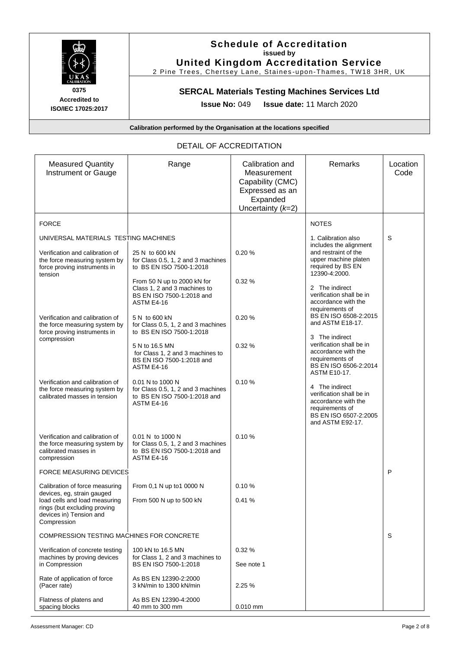

### **Schedule of Accreditation issued by United Kingdom Accreditation Service**

2 Pine Trees, Chertsey Lane, Staines -upon -Thames, TW18 3HR, UK

# **SERCAL Materials Testing Machines Services Ltd**

**Issue No:** 049 **Issue date:** 11 March 2020

**Calibration performed by the Organisation at the locations specified**

#### DETAIL OF ACCREDITATION

| <b>Measured Quantity</b><br>Instrument or Gauge                                                             | Range                                                                                                  | Calibration and<br>Measurement<br>Capability (CMC)<br>Expressed as an<br>Expanded<br>Uncertainty $(k=2)$ | Remarks                                                                                                                           | Location<br>Code |
|-------------------------------------------------------------------------------------------------------------|--------------------------------------------------------------------------------------------------------|----------------------------------------------------------------------------------------------------------|-----------------------------------------------------------------------------------------------------------------------------------|------------------|
| <b>FORCE</b>                                                                                                |                                                                                                        |                                                                                                          | <b>NOTES</b>                                                                                                                      |                  |
| UNIVERSAL MATERIALS TESTING MACHINES                                                                        |                                                                                                        |                                                                                                          | 1. Calibration also<br>includes the alignment                                                                                     | S                |
| Verification and calibration of<br>the force measuring system by<br>force proving instruments in<br>tension | 25 N to 600 kN<br>for Class 0.5, 1, 2 and 3 machines<br>to BS EN ISO 7500-1:2018                       | 0.20%                                                                                                    | and restraint of the<br>upper machine platen<br>required by BS EN<br>12390-4:2000.                                                |                  |
|                                                                                                             | From 50 N up to 2000 kN for<br>Class 1, 2 and 3 machines to<br>BS EN ISO 7500-1:2018 and<br>ASTM E4-16 | 0.32%                                                                                                    | 2 The indirect<br>verification shall be in<br>accordance with the<br>requirements of                                              |                  |
| Verification and calibration of<br>the force measuring system by<br>force proving instruments in            | 5 N to 600 kN<br>for Class 0.5, 1, 2 and 3 machines<br>to BS EN ISO 7500-1:2018                        | 0.20%                                                                                                    | BS EN ISO 6508-2:2015<br>and ASTM E18-17.<br>3 The indirect                                                                       |                  |
| compression                                                                                                 | 5 N to 16.5 MN<br>for Class 1, 2 and 3 machines to<br>BS EN ISO 7500-1:2018 and<br>ASTM E4-16          | 0.32%                                                                                                    | verification shall be in<br>accordance with the<br>requirements of<br>BS EN ISO 6506-2:2014<br>ASTM E10-17.                       |                  |
| Verification and calibration of<br>the force measuring system by<br>calibrated masses in tension            | 0.01 N to 1000 N<br>for Class 0.5, 1, 2 and 3 machines<br>to BS EN ISO 7500-1:2018 and<br>ASTM E4-16   | 0.10%                                                                                                    | 4 The indirect<br>verification shall be in<br>accordance with the<br>requirements of<br>BS EN ISO 6507-2:2005<br>and ASTM E92-17. |                  |
| Verification and calibration of<br>the force measuring system by<br>calibrated masses in<br>compression     | 0.01 N to 1000 N<br>for Class 0.5, 1, 2 and 3 machines<br>to BS EN ISO 7500-1:2018 and<br>ASTM E4-16   | 0.10%                                                                                                    |                                                                                                                                   |                  |
| <b>FORCE MEASURING DEVICES</b>                                                                              |                                                                                                        |                                                                                                          |                                                                                                                                   | P                |
| Calibration of force measuring<br>devices, eg, strain gauged                                                | From 0.1 N up to1 0000 N                                                                               | 0.10%                                                                                                    |                                                                                                                                   |                  |
| load cells and load measuring<br>rings (but excluding proving<br>devices in) Tension and<br>Compression     | From 500 N up to 500 kN                                                                                | 0.41%                                                                                                    |                                                                                                                                   |                  |
| COMPRESSION TESTING MACHINES FOR CONCRETE                                                                   |                                                                                                        |                                                                                                          |                                                                                                                                   | S                |
| Verification of concrete testing<br>machines by proving devices<br>in Compression                           | 100 kN to 16.5 MN<br>for Class 1, 2 and 3 machines to<br>BS EN ISO 7500-1:2018                         | 0.32%<br>See note 1                                                                                      |                                                                                                                                   |                  |
| Rate of application of force<br>(Pacer rate)                                                                | As BS EN 12390-2:2000<br>3 kN/min to 1300 kN/min                                                       | 2.25%                                                                                                    |                                                                                                                                   |                  |
| Flatness of platens and<br>spacing blocks                                                                   | As BS EN 12390-4:2000<br>40 mm to 300 mm                                                               | $0.010$ mm                                                                                               |                                                                                                                                   |                  |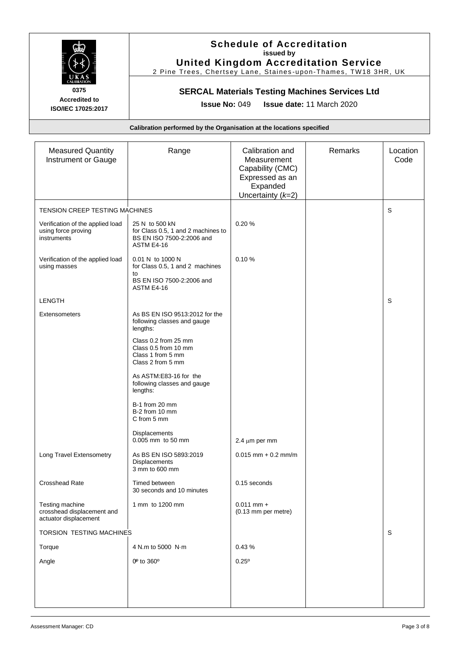

### **Schedule of Accreditation issued by United Kingdom Accreditation Service**

2 Pine Trees, Chertsey Lane, Staines -upon -Thames, TW18 3HR, UK

# **SERCAL Materials Testing Machines Services Ltd**

**Issue No:** 049 **Issue date:** 11 March 2020

| <b>Measured Quantity</b><br>Instrument or Gauge                        | Range                                                                                                | Calibration and<br>Measurement<br>Capability (CMC)<br>Expressed as an<br>Expanded<br>Uncertainty $(k=2)$ | Remarks | Location<br>Code |
|------------------------------------------------------------------------|------------------------------------------------------------------------------------------------------|----------------------------------------------------------------------------------------------------------|---------|------------------|
| <b>TENSION CREEP TESTING MACHINES</b>                                  |                                                                                                      |                                                                                                          |         | S                |
| Verification of the applied load<br>using force proving<br>instruments | 25 N to 500 kN<br>for Class 0.5, 1 and 2 machines to<br>BS EN ISO 7500-2:2006 and<br>ASTM E4-16      | 0.20%                                                                                                    |         |                  |
| Verification of the applied load<br>using masses                       | 0.01 N to 1000 N<br>for Class 0.5, 1 and 2 machines<br>to<br>BS EN ISO 7500-2:2006 and<br>ASTM E4-16 | 0.10%                                                                                                    |         |                  |
| <b>LENGTH</b>                                                          |                                                                                                      |                                                                                                          |         | S                |
| <b>Extensometers</b>                                                   | As BS EN ISO 9513:2012 for the<br>following classes and gauge<br>lengths:                            |                                                                                                          |         |                  |
|                                                                        | Class 0.2 from 25 mm<br>Class 0.5 from 10 mm<br>Class 1 from 5 mm<br>Class 2 from 5 mm               |                                                                                                          |         |                  |
|                                                                        | As ASTM:E83-16 for the<br>following classes and gauge<br>lengths:                                    |                                                                                                          |         |                  |
|                                                                        | B-1 from 20 mm<br>B-2 from 10 mm<br>C from 5 mm                                                      |                                                                                                          |         |                  |
|                                                                        | Displacements<br>0.005 mm to 50 mm                                                                   | 2.4 $\mu$ m per mm                                                                                       |         |                  |
| Long Travel Extensometry                                               | As BS EN ISO 5893:2019<br>Displacements<br>3 mm to 600 mm                                            | $0.015$ mm + 0.2 mm/m                                                                                    |         |                  |
| Crosshead Rate                                                         | Timed between<br>30 seconds and 10 minutes                                                           | 0.15 seconds                                                                                             |         |                  |
| Testing machine<br>crosshead displacement and<br>actuator displacement | 1 mm to 1200 mm                                                                                      | $0.011$ mm +<br>(0.13 mm per metre)                                                                      |         |                  |
| TORSION TESTING MACHINES                                               |                                                                                                      |                                                                                                          |         | S                |
| Torque                                                                 | 4 N.m to 5000 N.m                                                                                    | 0.43%                                                                                                    |         |                  |
| Angle                                                                  | 0 <sup>0</sup> to 360 <sup>o</sup>                                                                   | $0.25^{\circ}$                                                                                           |         |                  |
|                                                                        |                                                                                                      |                                                                                                          |         |                  |
|                                                                        |                                                                                                      |                                                                                                          |         |                  |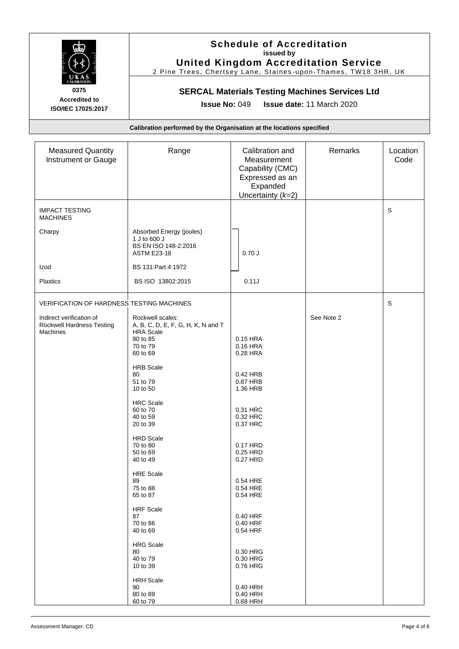

### **Schedule of Accreditation issued by United Kingdom Accreditation Service**

2 Pine Trees, Chertsey Lane, Staines -upon -Thames, TW18 3HR, UK

# **SERCAL Materials Testing Machines Services Ltd**

**Issue No:** 049 **Issue date:** 11 March 2020

| <b>Measured Quantity</b><br>Instrument or Gauge                          | Range                                                                                  | Calibration and<br>Measurement<br>Capability (CMC)<br>Expressed as an<br>Expanded<br>Uncertainty $(k=2)$ | Remarks    | Location<br>Code |
|--------------------------------------------------------------------------|----------------------------------------------------------------------------------------|----------------------------------------------------------------------------------------------------------|------------|------------------|
| <b>IMPACT TESTING</b><br><b>MACHINES</b>                                 |                                                                                        |                                                                                                          |            | $\mathbb S$      |
| Charpy                                                                   | Absorbed Energy (joules)<br>1 J to 600 J<br>BS EN ISO 148-2:2016<br><b>ASTM E23-18</b> | 0.70J                                                                                                    |            |                  |
| Izod                                                                     | BS 131: Part 4: 1972                                                                   |                                                                                                          |            |                  |
| Plastics                                                                 | BS ISO 13802:2015                                                                      | 0.11J                                                                                                    |            |                  |
| VERIFICATION OF HARDNESS TESTING MACHINES                                |                                                                                        |                                                                                                          |            | $\mathsf S$      |
| Indirect verification of<br>Rockwell Hardness Testing<br><b>Machines</b> | Rockwell scales:<br>A, B, C, D, E, F, G, H, K, N and T<br><b>HRA Scale</b><br>80 to 85 | 0.15 HRA                                                                                                 | See Note 2 |                  |
|                                                                          | 70 to 79<br>60 to 69                                                                   | 0.16 HRA<br>0.28 HRA                                                                                     |            |                  |
|                                                                          | <b>HRB Scale</b><br>80<br>51 to 79<br>10 to 50                                         | 0.42 HRB<br>0.87 HRB<br>1.36 HRB                                                                         |            |                  |
|                                                                          | <b>HRC</b> Scale<br>60 to 70<br>40 to 59<br>20 to 39                                   | 0.31 HRC<br>0.32 HRC<br>0.37 HRC                                                                         |            |                  |
|                                                                          | <b>HRD Scale</b><br>70 to 80<br>50 to 69<br>40 to 49                                   | 0.17 HRD<br>0.25 HRD<br>0.27 HRD                                                                         |            |                  |
|                                                                          | <b>HRE</b> Scale<br>89<br>75 to 88<br>65 to 87                                         | 0.54 HRE<br>0.54 HRE<br>0.54 HRE                                                                         |            |                  |
|                                                                          | <b>HRF</b> Scale<br>87<br>70 to 86<br>40 to 69                                         | 0.40 HRF<br>0.40 HRF<br>0.54 HRF                                                                         |            |                  |
|                                                                          | <b>HRG Scale</b><br>80<br>40 to 79<br>10 to 39                                         | 0.30 HRG<br>0.30 HRG<br>0.76 HRG                                                                         |            |                  |
|                                                                          | <b>HRH Scale</b><br>90<br>80 to 89<br>60 to 79                                         | 0.40 HRH<br>0.40 HRH<br>0.68 HRH                                                                         |            |                  |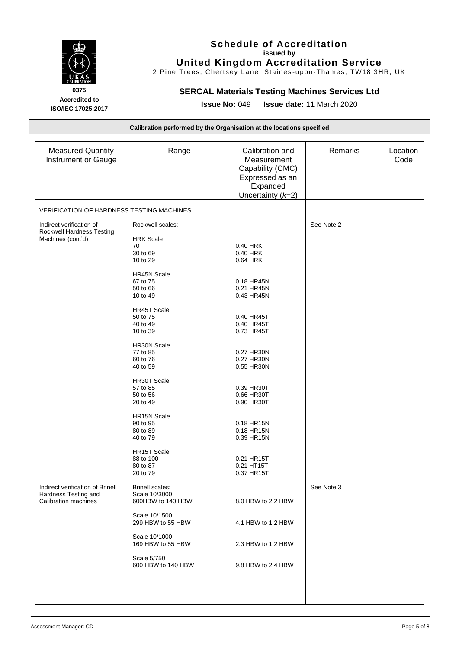

### **Schedule of Accreditation issued by United Kingdom Accreditation Service**

2 Pine Trees, Chertsey Lane, Staines -upon -Thames, TW18 3HR, UK

# **SERCAL Materials Testing Machines Services Ltd**

**Issue No:** 049 **Issue date:** 11 March 2020

| <b>Measured Quantity</b><br>Instrument or Gauge                            | Range                                                  | Calibration and<br>Measurement<br>Capability (CMC)<br>Expressed as an<br>Expanded<br>Uncertainty $(k=2)$ | Remarks    | Location<br>Code |
|----------------------------------------------------------------------------|--------------------------------------------------------|----------------------------------------------------------------------------------------------------------|------------|------------------|
| VERIFICATION OF HARDNESS TESTING MACHINES                                  |                                                        |                                                                                                          |            |                  |
|                                                                            |                                                        |                                                                                                          |            |                  |
| Indirect verification of<br>Rockwell Hardness Testing<br>Machines (cont'd) | Rockwell scales:<br><b>HRK Scale</b><br>70<br>30 to 69 | 0.40 HRK<br>0.40 HRK                                                                                     | See Note 2 |                  |
|                                                                            | 10 to 29                                               | 0.64 HRK                                                                                                 |            |                  |
|                                                                            | <b>HR45N Scale</b>                                     |                                                                                                          |            |                  |
|                                                                            | 67 to 75<br>50 to 66                                   | 0.18 HR45N<br>0.21 HR45N                                                                                 |            |                  |
|                                                                            | 10 to 49                                               | 0.43 HR45N                                                                                               |            |                  |
|                                                                            | <b>HR45T Scale</b>                                     |                                                                                                          |            |                  |
|                                                                            | 50 to 75                                               | 0.40 HR45T                                                                                               |            |                  |
|                                                                            | 40 to 49                                               | 0.40 HR45T                                                                                               |            |                  |
|                                                                            | 10 to 39                                               | 0.73 HR45T                                                                                               |            |                  |
|                                                                            | HR30N Scale                                            |                                                                                                          |            |                  |
|                                                                            | 77 to 85<br>60 to 76                                   | 0.27 HR30N<br>0.27 HR30N                                                                                 |            |                  |
|                                                                            | 40 to 59                                               | 0.55 HR30N                                                                                               |            |                  |
|                                                                            | HR30T Scale                                            |                                                                                                          |            |                  |
|                                                                            | 57 to 85                                               | 0.39 HR30T                                                                                               |            |                  |
|                                                                            | 50 to 56<br>20 to 49                                   | 0.66 HR30T<br>0.90 HR30T                                                                                 |            |                  |
|                                                                            |                                                        |                                                                                                          |            |                  |
|                                                                            | HR15N Scale<br>90 to 95                                | 0.18 HR15N                                                                                               |            |                  |
|                                                                            | 80 to 89                                               | 0.18 HR15N                                                                                               |            |                  |
|                                                                            | 40 to 79                                               | 0.39 HR15N                                                                                               |            |                  |
|                                                                            | HR15T Scale                                            |                                                                                                          |            |                  |
|                                                                            | 88 to 100                                              | 0.21 HR15T                                                                                               |            |                  |
|                                                                            | 80 to 87<br>20 to 79                                   | 0.21 HT15T<br>0.37 HR15T                                                                                 |            |                  |
|                                                                            |                                                        |                                                                                                          |            |                  |
| Indirect verification of Brinell                                           | <b>Brinell scales:</b>                                 |                                                                                                          | See Note 3 |                  |
| Hardness Testing and<br><b>Calibration machines</b>                        | Scale 10/3000<br>600HBW to 140 HBW                     | 8.0 HBW to 2.2 HBW                                                                                       |            |                  |
|                                                                            |                                                        |                                                                                                          |            |                  |
|                                                                            | Scale 10/1500<br>299 HBW to 55 HBW                     | 4.1 HBW to 1.2 HBW                                                                                       |            |                  |
|                                                                            | Scale 10/1000<br>169 HBW to 55 HBW                     | 2.3 HBW to 1.2 HBW                                                                                       |            |                  |
|                                                                            | Scale 5/750<br>600 HBW to 140 HBW                      | 9.8 HBW to 2.4 HBW                                                                                       |            |                  |
|                                                                            |                                                        |                                                                                                          |            |                  |
|                                                                            |                                                        |                                                                                                          |            |                  |
|                                                                            |                                                        |                                                                                                          |            |                  |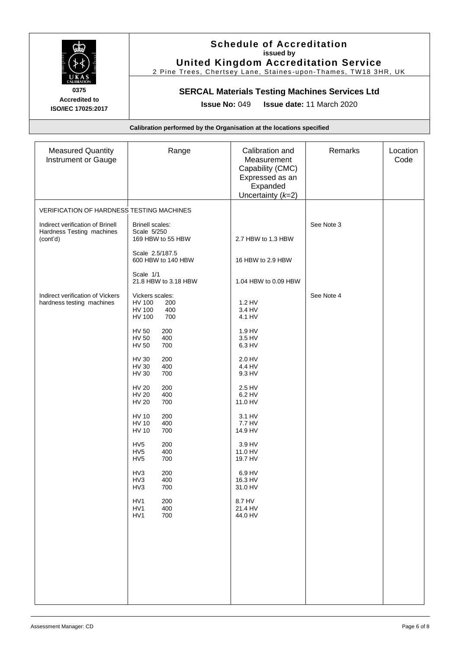

### **Schedule of Accreditation issued by United Kingdom Accreditation Service**

2 Pine Trees, Chertsey Lane, Staines -upon -Thames, TW18 3HR, UK

# **SERCAL Materials Testing Machines Services Ltd**

**Issue No:** 049 **Issue date:** 11 March 2020

| <b>Measured Quantity</b><br>Instrument or Gauge                           | Range                                                                                   | Calibration and<br>Measurement<br>Capability (CMC)<br>Expressed as an<br>Expanded<br>Uncertainty $(k=2)$ | Remarks    | Location<br>Code |
|---------------------------------------------------------------------------|-----------------------------------------------------------------------------------------|----------------------------------------------------------------------------------------------------------|------------|------------------|
| VERIFICATION OF HARDNESS TESTING MACHINES                                 |                                                                                         |                                                                                                          |            |                  |
| Indirect verification of Brinell<br>Hardness Testing machines<br>(cont'd) | <b>Brinell scales:</b><br>Scale 5/250<br>169 HBW to 55 HBW                              | 2.7 HBW to 1.3 HBW                                                                                       | See Note 3 |                  |
|                                                                           | Scale 2.5/187.5<br>600 HBW to 140 HBW                                                   | 16 HBW to 2.9 HBW                                                                                        |            |                  |
|                                                                           | Scale 1/1<br>21.8 HBW to 3.18 HBW                                                       | 1.04 HBW to 0.09 HBW                                                                                     |            |                  |
| Indirect verification of Vickers<br>hardness testing machines             | Vickers scales:<br><b>HV 100</b><br>200<br><b>HV 100</b><br>400<br><b>HV 100</b><br>700 | 1.2 HV<br>3.4 HV<br>4.1 HV                                                                               | See Note 4 |                  |
|                                                                           | <b>HV 50</b><br>200<br><b>HV 50</b><br>400<br><b>HV 50</b><br>700                       | 1.9 HV<br>3.5 HV<br>6.3 HV                                                                               |            |                  |
|                                                                           | <b>HV 30</b><br>200<br><b>HV 30</b><br>400<br>700<br>HV 30                              | 2.0 HV<br>4.4 HV<br>9.3 HV                                                                               |            |                  |
|                                                                           | <b>HV 20</b><br>200<br><b>HV 20</b><br>400<br><b>HV 20</b><br>700                       | 2.5 HV<br>6.2 HV<br>11.0 HV                                                                              |            |                  |
|                                                                           | HV 10<br>200<br><b>HV 10</b><br>400<br><b>HV 10</b><br>700                              | 3.1 HV<br>7.7 HV<br>14.9 HV                                                                              |            |                  |
|                                                                           | HV <sub>5</sub><br>200<br>HV <sub>5</sub><br>400<br>HV <sub>5</sub><br>700              | 3.9 HV<br>11.0 HV<br>19.7 HV                                                                             |            |                  |
|                                                                           | 200<br>HV3<br>HV3<br>400<br>HV3<br>700                                                  | 6.9 HV<br>16.3 HV<br>31.0 HV                                                                             |            |                  |
|                                                                           | HV1<br>200<br>HV1<br>400<br>700<br>HV <sub>1</sub>                                      | 8.7 HV<br>21.4 HV<br>44.0 HV                                                                             |            |                  |
|                                                                           |                                                                                         |                                                                                                          |            |                  |
|                                                                           |                                                                                         |                                                                                                          |            |                  |
|                                                                           |                                                                                         |                                                                                                          |            |                  |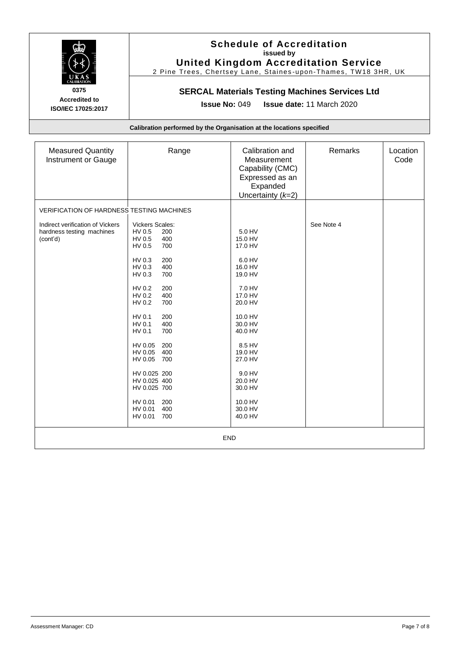

### **Schedule of Accreditation issued by United Kingdom Accreditation Service**

2 Pine Trees, Chertsey Lane, Staines -upon -Thames, TW18 3HR, UK

# **SERCAL Materials Testing Machines Services Ltd**

**Issue No:** 049 **Issue date:** 11 March 2020

| <b>Measured Quantity</b><br>Instrument or Gauge                           | Range                                                                                                                                                                                                                                                                                                                                                                                   | Calibration and<br>Measurement<br>Capability (CMC)<br>Expressed as an<br>Expanded<br>Uncertainty $(k=2)$                                                                                                                       | Remarks    | Location<br>Code |
|---------------------------------------------------------------------------|-----------------------------------------------------------------------------------------------------------------------------------------------------------------------------------------------------------------------------------------------------------------------------------------------------------------------------------------------------------------------------------------|--------------------------------------------------------------------------------------------------------------------------------------------------------------------------------------------------------------------------------|------------|------------------|
| <b>VERIFICATION OF HARDNESS TESTING MACHINES</b>                          |                                                                                                                                                                                                                                                                                                                                                                                         |                                                                                                                                                                                                                                |            |                  |
| Indirect verification of Vickers<br>hardness testing machines<br>(cont'd) | Vickers Scales:<br>HV 0.5<br>200<br>HV 0.5<br>400<br>HV 0.5<br>700<br>HV 0.3<br>200<br>HV 0.3<br>400<br>HV 0.3<br>700<br>HV 0.2<br>200<br>HV 0.2<br>400<br>HV 0.2<br>700<br>HV 0.1<br>200<br>HV 0.1<br>400<br>HV 0.1<br>700<br>HV 0.05<br>200<br>HV 0.05<br>400<br>HV 0.05<br>700<br>HV 0.025 200<br>HV 0.025 400<br>HV 0.025 700<br>HV 0.01<br>200<br>HV 0.01<br>400<br>HV 0.01<br>700 | 5.0 HV<br>15.0 HV<br>17.0 HV<br>6.0 HV<br>16.0 HV<br>19.0 HV<br>7.0 HV<br>17.0 HV<br>20.0 HV<br>10.0 HV<br>30.0 HV<br>40.0 HV<br>8.5 HV<br>19.0 HV<br>27.0 HV<br>9.0 HV<br>20.0 HV<br>30.0 HV<br>10.0 HV<br>30.0 HV<br>40.0 HV | See Note 4 |                  |
| <b>END</b>                                                                |                                                                                                                                                                                                                                                                                                                                                                                         |                                                                                                                                                                                                                                |            |                  |